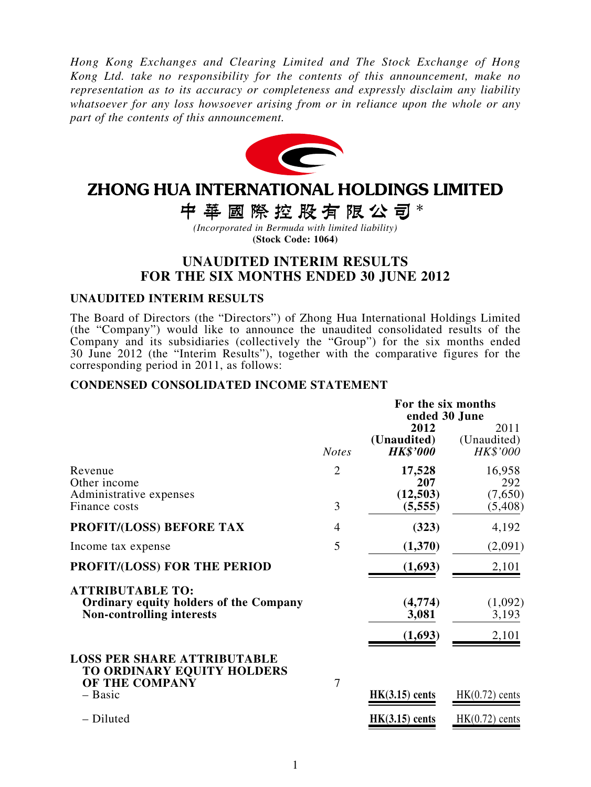*Hong Kong Exchanges and Clearing Limited and The Stock Exchange of Hong Kong Ltd. take no responsibility for the contents of this announcement, make no representation as to its accuracy or completeness and expressly disclaim any liability whatsoever for any loss howsoever arising from or in reliance upon the whole or any part of the contents of this announcement.*



# ZHONG HUA INTERNATIONAL HOLDINGS LIMITED

中華國際控股有限公司\*

*(Incorporated in Bermuda with limited liability)* **(Stock Code: 1064)**

### **UNAUDITED INTERIM RESULTS FOR THE SIX MONTHS ENDED 30 JUNE 2012**

#### **UNAUDITED INTERIM RESULTS**

The Board of Directors (the "Directors") of Zhong Hua International Holdings Limited (the "Company") would like to announce the unaudited consolidated results of the Company and its subsidiaries (collectively the "Group") for the six months ended 30 June 2012 (the "Interim Results"), together with the comparative figures for the corresponding period in 2011, as follows:

#### **CONDENSED CONSOLIDATED INCOME STATEMENT**

|                                                                                                              |                     | For the six months<br>ended 30 June    |                                      |  |  |
|--------------------------------------------------------------------------------------------------------------|---------------------|----------------------------------------|--------------------------------------|--|--|
|                                                                                                              | <b>Notes</b>        | 2012<br>(Unaudited)<br><b>HK\$'000</b> | 2011<br>(Unaudited)<br>HK\$'000      |  |  |
| Revenue<br>Other income<br>Administrative expenses<br>Finance costs                                          | $\overline{2}$<br>3 | 17,528<br>207<br>(12, 503)<br>(5, 555) | 16,958<br>292<br>(7,650)<br>(5, 408) |  |  |
| PROFIT/(LOSS) BEFORE TAX                                                                                     | 4                   | (323)                                  | 4,192                                |  |  |
| Income tax expense                                                                                           | 5                   | (1,370)                                | (2,091)                              |  |  |
| <b>PROFIT/(LOSS) FOR THE PERIOD</b>                                                                          |                     | (1,693)                                | 2,101                                |  |  |
| <b>ATTRIBUTABLE TO:</b><br><b>Ordinary equity holders of the Company</b><br><b>Non-controlling interests</b> |                     | (4,774)<br>3,081                       | (1,092)<br>3,193                     |  |  |
|                                                                                                              |                     | (1,693)                                | 2,101                                |  |  |
| <b>LOSS PER SHARE ATTRIBUTABLE</b><br>TO ORDINARY EQUITY HOLDERS<br>OF THE COMPANY                           | 7                   |                                        |                                      |  |  |
| $-$ Basic                                                                                                    |                     | $HK(3.15)$ cents                       | $HK(0.72)$ cents                     |  |  |
| - Diluted                                                                                                    |                     | $HK(3.15)$ cents                       | $HK(0.72)$ cents                     |  |  |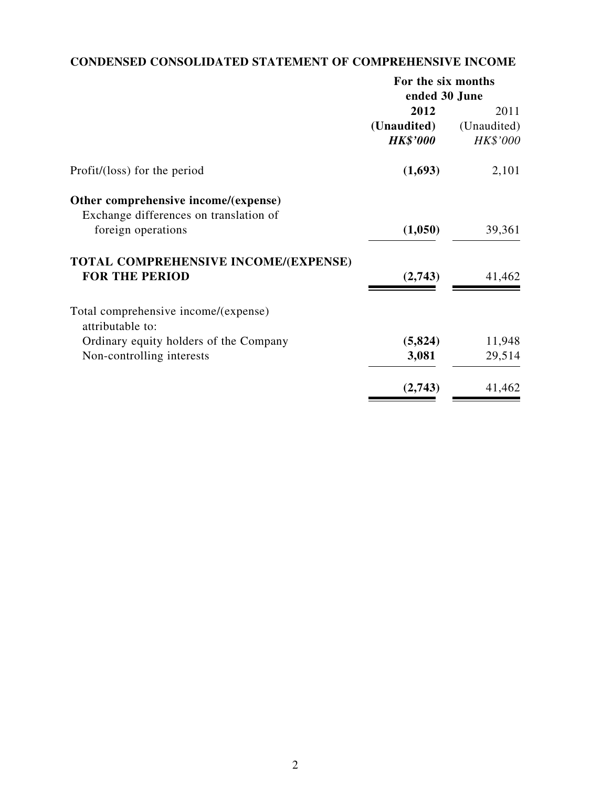# **CONDENSED CONSOLIDATED STATEMENT OF COMPREHENSIVE INCOME**

|                                        | For the six months |               |  |  |
|----------------------------------------|--------------------|---------------|--|--|
|                                        |                    | ended 30 June |  |  |
|                                        | 2012               | 2011          |  |  |
|                                        | (Unaudited)        | (Unaudited)   |  |  |
|                                        | <b>HK\$'000</b>    | HK\$'000      |  |  |
| Profit/(loss) for the period           | (1,693)            | 2,101         |  |  |
| Other comprehensive income/(expense)   |                    |               |  |  |
| Exchange differences on translation of |                    |               |  |  |
| foreign operations                     | (1,050)            | 39,361        |  |  |
| TOTAL COMPREHENSIVE INCOME/(EXPENSE)   |                    |               |  |  |
| <b>FOR THE PERIOD</b>                  | (2,743)            | 41,462        |  |  |
| Total comprehensive income/(expense)   |                    |               |  |  |
| attributable to:                       |                    |               |  |  |
| Ordinary equity holders of the Company | (5,824)            | 11,948        |  |  |
| Non-controlling interests              | 3,081              | 29,514        |  |  |
|                                        | (2,743)            | 41,462        |  |  |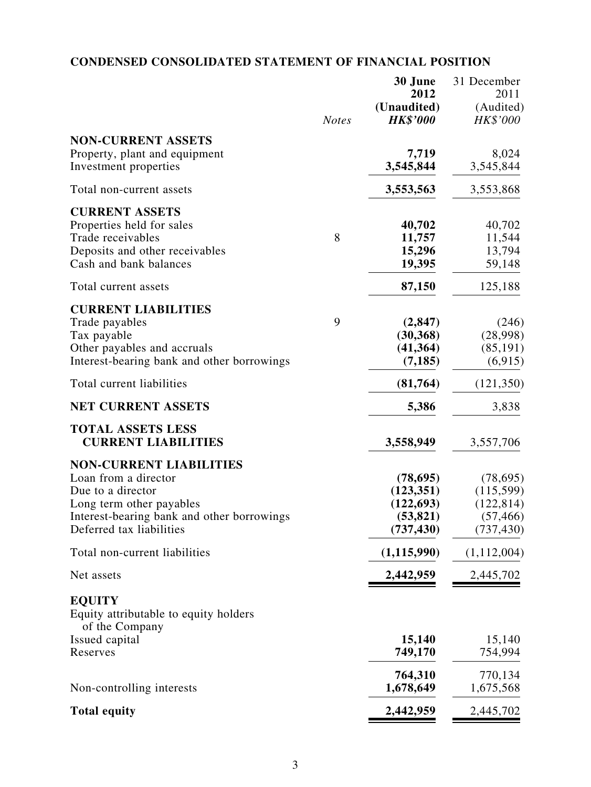## **CONDENSED CONSOLIDATED STATEMENT OF FINANCIAL POSITION**

|                                                                                                                                                                                   | <b>Notes</b> | 30 June<br>2012<br>(Unaudited)<br><b>HK\$'000</b>                | 31 December<br>2011<br>(Audited)<br>HK\$'000                    |
|-----------------------------------------------------------------------------------------------------------------------------------------------------------------------------------|--------------|------------------------------------------------------------------|-----------------------------------------------------------------|
| <b>NON-CURRENT ASSETS</b><br>Property, plant and equipment<br>Investment properties                                                                                               |              | 7,719<br>3,545,844                                               | 8,024<br>3,545,844                                              |
| Total non-current assets                                                                                                                                                          |              | 3,553,563                                                        | 3,553,868                                                       |
| <b>CURRENT ASSETS</b><br>Properties held for sales<br>Trade receivables<br>Deposits and other receivables<br>Cash and bank balances                                               | 8            | 40,702<br>11,757<br>15,296<br>19,395                             | 40,702<br>11,544<br>13,794<br>59,148                            |
| Total current assets                                                                                                                                                              |              | 87,150                                                           | 125,188                                                         |
| <b>CURRENT LIABILITIES</b><br>Trade payables<br>Tax payable<br>Other payables and accruals<br>Interest-bearing bank and other borrowings                                          | 9            | (2, 847)<br>(30, 368)<br>(41, 364)<br>(7, 185)                   | (246)<br>(28,998)<br>(85, 191)<br>(6,915)                       |
| Total current liabilities                                                                                                                                                         |              | (81,764)                                                         | (121, 350)                                                      |
| <b>NET CURRENT ASSETS</b>                                                                                                                                                         |              | 5,386                                                            | 3,838                                                           |
| <b>TOTAL ASSETS LESS</b><br><b>CURRENT LIABILITIES</b>                                                                                                                            |              | 3,558,949                                                        | 3,557,706                                                       |
| <b>NON-CURRENT LIABILITIES</b><br>Loan from a director<br>Due to a director<br>Long term other payables<br>Interest-bearing bank and other borrowings<br>Deferred tax liabilities |              | (78, 695)<br>(123, 351)<br>(122, 693)<br>(53, 821)<br>(737, 430) | (78, 695)<br>(115,599)<br>(122, 814)<br>(57, 466)<br>(737, 430) |
| Total non-current liabilities                                                                                                                                                     |              | (1, 115, 990)                                                    | (1,112,004)                                                     |
| Net assets                                                                                                                                                                        |              | 2,442,959                                                        | 2,445,702                                                       |
| <b>EQUITY</b><br>Equity attributable to equity holders<br>of the Company                                                                                                          |              |                                                                  |                                                                 |
| Issued capital<br>Reserves                                                                                                                                                        |              | 15,140<br>749,170                                                | 15,140<br>754,994                                               |
| Non-controlling interests                                                                                                                                                         |              | 764,310<br>1,678,649                                             | 770,134<br>1,675,568                                            |
| <b>Total equity</b>                                                                                                                                                               |              | 2,442,959                                                        | 2,445,702                                                       |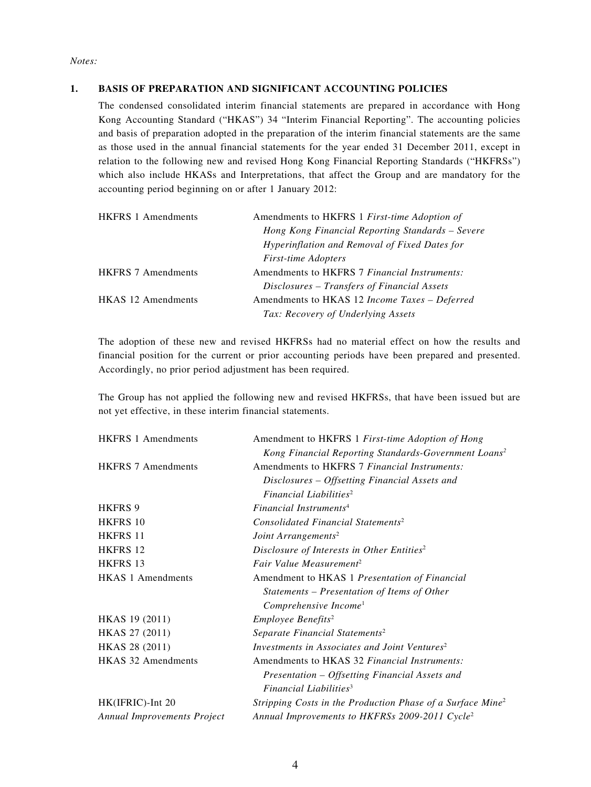*Notes:*

#### **1. BASIS OF PREPARATION AND SIGNIFICANT ACCOUNTING POLICIES**

The condensed consolidated interim financial statements are prepared in accordance with Hong Kong Accounting Standard ("HKAS") 34 "Interim Financial Reporting". The accounting policies and basis of preparation adopted in the preparation of the interim financial statements are the same as those used in the annual financial statements for the year ended 31 December 2011, except in relation to the following new and revised Hong Kong Financial Reporting Standards ("HKFRSs") which also include HKASs and Interpretations, that affect the Group and are mandatory for the accounting period beginning on or after 1 January 2012:

| <b>HKFRS 1 Amendments</b> | Amendments to HKFRS 1 First-time Adoption of<br>Hong Kong Financial Reporting Standards – Severe<br><i>Hyperinflation and Removal of Fixed Dates for</i> |
|---------------------------|----------------------------------------------------------------------------------------------------------------------------------------------------------|
|                           | <b>First-time Adopters</b>                                                                                                                               |
| <b>HKFRS 7 Amendments</b> | Amendments to HKFRS 7 Financial Instruments:                                                                                                             |
|                           | Disclosures – Transfers of Financial Assets                                                                                                              |
| <b>HKAS</b> 12 Amendments | Amendments to HKAS 12 Income Taxes - Deferred                                                                                                            |
|                           | Tax: Recovery of Underlying Assets                                                                                                                       |

The adoption of these new and revised HKFRSs had no material effect on how the results and financial position for the current or prior accounting periods have been prepared and presented. Accordingly, no prior period adjustment has been required.

The Group has not applied the following new and revised HKFRSs, that have been issued but are not yet effective, in these interim financial statements.

| <b>HKFRS 1 Amendments</b>          | Amendment to HKFRS 1 First-time Adoption of Hong                       |
|------------------------------------|------------------------------------------------------------------------|
|                                    | Kong Financial Reporting Standards-Government Loans <sup>2</sup>       |
| <b>HKFRS 7 Amendments</b>          | Amendments to HKFRS 7 Financial Instruments:                           |
|                                    | Disclosures - Offsetting Financial Assets and                          |
|                                    | Financial Liabilities <sup>2</sup>                                     |
| <b>HKFRS 9</b>                     | Financial Instruments <sup>4</sup>                                     |
| HKFRS 10                           | Consolidated Financial Statements <sup>2</sup>                         |
| <b>HKFRS 11</b>                    | Joint Arrangements <sup>2</sup>                                        |
| HKFRS 12                           | Disclosure of Interests in Other Entities <sup>2</sup>                 |
| <b>HKFRS 13</b>                    | Fair Value Measurement <sup>2</sup>                                    |
| <b>HKAS 1 Amendments</b>           | Amendment to HKAS 1 Presentation of Financial                          |
|                                    | Statements - Presentation of Items of Other                            |
|                                    | Comprehensive Income <sup>1</sup>                                      |
| HKAS 19 (2011)                     | Employee Benefits <sup>2</sup>                                         |
| HKAS 27 (2011)                     | Separate Financial Statements <sup>2</sup>                             |
| HKAS 28 (2011)                     | Investments in Associates and Joint Ventures <sup>2</sup>              |
| <b>HKAS 32 Amendments</b>          | Amendments to HKAS 32 Financial Instruments:                           |
|                                    | Presentation - Offsetting Financial Assets and                         |
|                                    | Financial Liabilities <sup>3</sup>                                     |
| HK(IFRIC)-Int 20                   | Stripping Costs in the Production Phase of a Surface Mine <sup>2</sup> |
| <b>Annual Improvements Project</b> | Annual Improvements to HKFRSs 2009-2011 Cycle <sup>2</sup>             |
|                                    |                                                                        |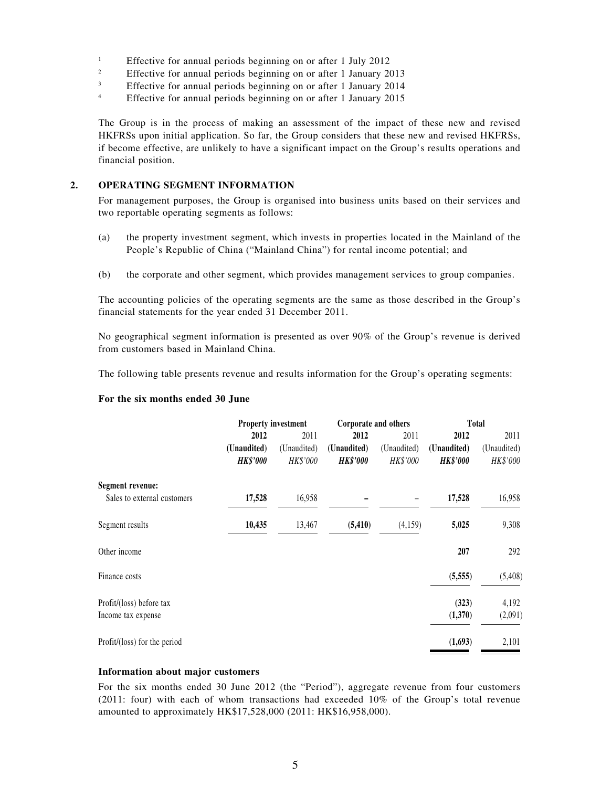- <sup>1</sup> Effective for annual periods beginning on or after 1 July 2012
- <sup>2</sup> Effective for annual periods beginning on or after 1 January 2013
- <sup>3</sup><br>Effective for annual periods beginning on or after 1 January 2015<br>Effective for annual periods beginning on or after 1 January 2015
- <sup>4</sup> Effective for annual periods beginning on or after 1 January 2015

The Group is in the process of making an assessment of the impact of these new and revised HKFRSs upon initial application. So far, the Group considers that these new and revised HKFRSs, if become effective, are unlikely to have a significant impact on the Group's results operations and financial position.

#### **2. OPERATING SEGMENT INFORMATION**

For management purposes, the Group is organised into business units based on their services and two reportable operating segments as follows:

- (a) the property investment segment, which invests in properties located in the Mainland of the People's Republic of China ("Mainland China") for rental income potential; and
- (b) the corporate and other segment, which provides management services to group companies.

The accounting policies of the operating segments are the same as those described in the Group's financial statements for the year ended 31 December 2011.

No geographical segment information is presented as over 90% of the Group's revenue is derived from customers based in Mainland China.

The following table presents revenue and results information for the Group's operating segments:

#### **For the six months ended 30 June**

|                              | <b>Property investment</b> |             | Corporate and others |             | <b>Total</b>    |             |
|------------------------------|----------------------------|-------------|----------------------|-------------|-----------------|-------------|
|                              | 2012                       | 2011        | 2012                 | 2011        | 2012            | 2011        |
|                              | (Unaudited)                | (Unaudited) | (Unaudited)          | (Unaudited) | (Unaudited)     | (Unaudited) |
|                              | <b>HK\$'000</b>            | HK\$'000    | <b>HK\$'000</b>      | HK\$'000    | <b>HK\$'000</b> | HK\$'000    |
| Segment revenue:             |                            |             |                      |             |                 |             |
| Sales to external customers  | 17,528                     | 16,958      |                      |             | 17,528          | 16,958      |
| Segment results              | 10,435                     | 13,467      | (5, 410)             | (4,159)     | 5,025           | 9,308       |
| Other income                 |                            |             |                      |             | 207             | 292         |
| Finance costs                |                            |             |                      |             | (5,555)         | (5,408)     |
| Profit/(loss) before tax     |                            |             |                      |             | (323)           | 4,192       |
| Income tax expense           |                            |             |                      |             | (1,370)         | (2,091)     |
| Profit/(loss) for the period |                            |             |                      |             | (1,693)         | 2,101       |

#### **Information about major customers**

For the six months ended 30 June 2012 (the "Period"), aggregate revenue from four customers (2011: four) with each of whom transactions had exceeded 10% of the Group's total revenue amounted to approximately HK\$17,528,000 (2011: HK\$16,958,000).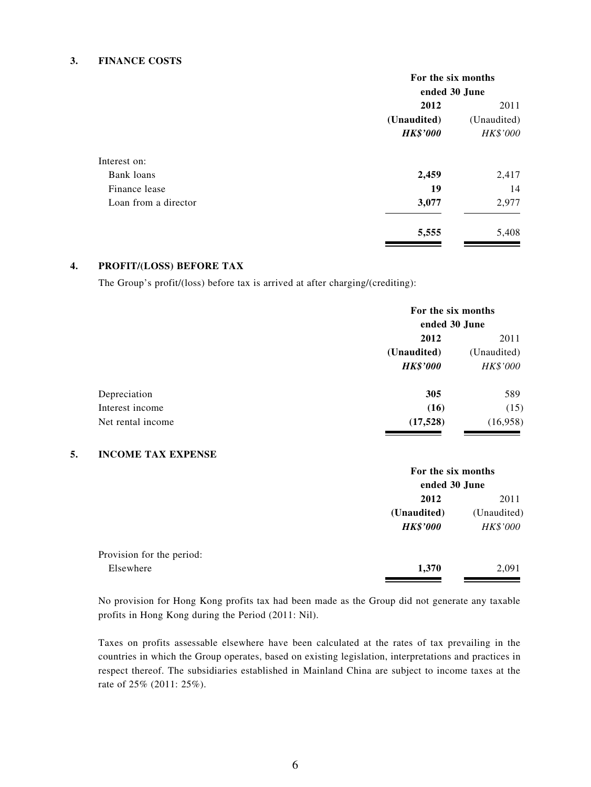#### **3. FINANCE COSTS**

|                      | For the six months |             |  |
|----------------------|--------------------|-------------|--|
|                      | ended 30 June      |             |  |
|                      | 2012               | 2011        |  |
|                      | (Unaudited)        | (Unaudited) |  |
|                      | <b>HK\$'000</b>    | HK\$'000    |  |
| Interest on:         |                    |             |  |
| Bank loans           | 2,459              | 2,417       |  |
| Finance lease        | 19                 | 14          |  |
| Loan from a director | 3,077              | 2,977       |  |
|                      | 5,555              | 5,408       |  |

#### **4. PROFIT/(LOSS) BEFORE TAX**

The Group's profit/(loss) before tax is arrived at after charging/(crediting):

|                   | For the six months<br>ended 30 June |             |  |
|-------------------|-------------------------------------|-------------|--|
|                   | 2012                                | 2011        |  |
|                   | (Unaudited)                         | (Unaudited) |  |
|                   | <b>HK\$'000</b>                     | HK\$'000    |  |
| Depreciation      | 305                                 | 589         |  |
| Interest income   | (16)                                | (15)        |  |
| Net rental income | (17,528)                            | (16,958)    |  |

#### **5. INCOME TAX EXPENSE**

|                           |                 | For the six months |  |  |
|---------------------------|-----------------|--------------------|--|--|
|                           |                 | ended 30 June      |  |  |
|                           | 2012            | 2011               |  |  |
|                           | (Unaudited)     | (Unaudited)        |  |  |
|                           | <b>HK\$'000</b> | HK\$'000           |  |  |
| Provision for the period: |                 |                    |  |  |
| Elsewhere                 | 1,370           | 2,091              |  |  |

No provision for Hong Kong profits tax had been made as the Group did not generate any taxable profits in Hong Kong during the Period (2011: Nil).

Taxes on profits assessable elsewhere have been calculated at the rates of tax prevailing in the countries in which the Group operates, based on existing legislation, interpretations and practices in respect thereof. The subsidiaries established in Mainland China are subject to income taxes at the rate of 25% (2011: 25%).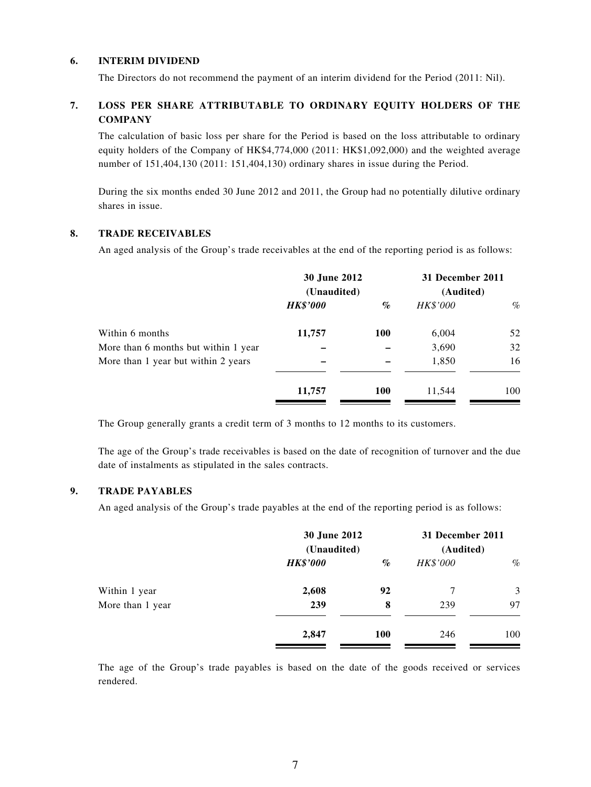#### **6. INTERIM DIVIDEND**

The Directors do not recommend the payment of an interim dividend for the Period (2011: Nil).

#### **7. LOSS PER SHARE ATTRIBUTABLE TO ORDINARY EQUITY HOLDERS OF THE COMPANY**

The calculation of basic loss per share for the Period is based on the loss attributable to ordinary equity holders of the Company of HK\$4,774,000 (2011: HK\$1,092,000) and the weighted average number of 151,404,130 (2011: 151,404,130) ordinary shares in issue during the Period.

During the six months ended 30 June 2012 and 2011, the Group had no potentially dilutive ordinary shares in issue.

#### **8. TRADE RECEIVABLES**

An aged analysis of the Group's trade receivables at the end of the reporting period is as follows:

| 30 June 2012<br>(Unaudited) |            | 31 December 2011<br>(Audited) |      |
|-----------------------------|------------|-------------------------------|------|
| <b>HK\$'000</b>             | $\%$       | HK\$'000                      | $\%$ |
| 11,757                      | <b>100</b> | 6,004                         | 52   |
|                             |            | 3,690                         | 32   |
|                             |            | 1,850                         | 16   |
| 11,757                      | <b>100</b> | 11,544                        | 100  |
|                             |            |                               |      |

The Group generally grants a credit term of 3 months to 12 months to its customers.

The age of the Group's trade receivables is based on the date of recognition of turnover and the due date of instalments as stipulated in the sales contracts.

#### **9. TRADE PAYABLES**

An aged analysis of the Group's trade payables at the end of the reporting period is as follows:

| 30 June 2012<br>(Unaudited) |            | 31 December 2011<br>(Audited) |      |
|-----------------------------|------------|-------------------------------|------|
| <b>HK\$'000</b>             | $\%$       | HK\$'000                      | $\%$ |
| 2,608                       | 92         | 7                             | 3    |
| 239                         | 8          | 239                           | 97   |
| 2,847                       | <b>100</b> | 246                           | 100  |
|                             |            |                               |      |

The age of the Group's trade payables is based on the date of the goods received or services rendered.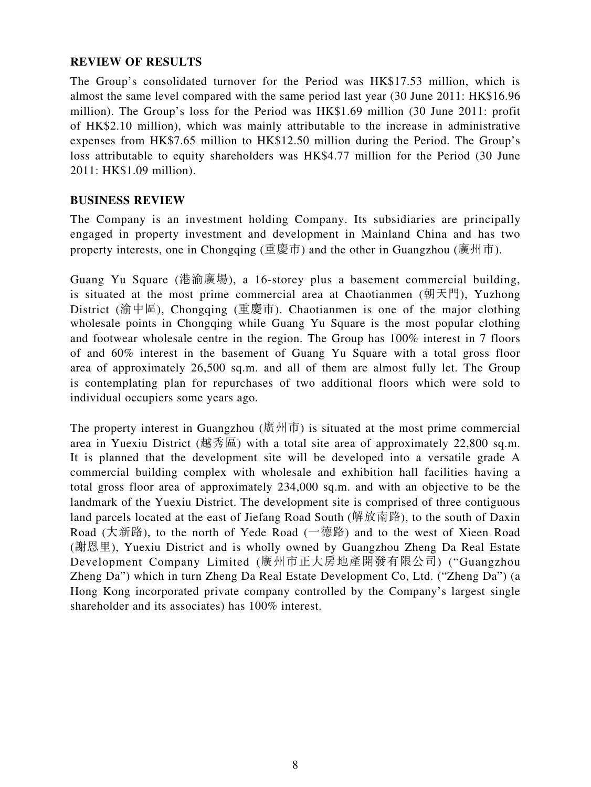### **REVIEW OF RESULTS**

The Group's consolidated turnover for the Period was HK\$17.53 million, which is almost the same level compared with the same period last year (30 June 2011: HK\$16.96 million). The Group's loss for the Period was HK\$1.69 million (30 June 2011: profit of HK\$2.10 million), which was mainly attributable to the increase in administrative expenses from HK\$7.65 million to HK\$12.50 million during the Period. The Group's loss attributable to equity shareholders was HK\$4.77 million for the Period (30 June 2011: HK\$1.09 million).

#### **BUSINESS REVIEW**

The Company is an investment holding Company. Its subsidiaries are principally engaged in property investment and development in Mainland China and has two property interests, one in Chongqing (重慶市) and the other in Guangzhou (廣州市).

Guang Yu Square (港渝廣場), a 16-storey plus a basement commercial building, is situated at the most prime commercial area at Chaotianmen (朝天門), Yuzhong District (渝中區), Chongqing (重慶市). Chaotianmen is one of the major clothing wholesale points in Chongqing while Guang Yu Square is the most popular clothing and footwear wholesale centre in the region. The Group has 100% interest in 7 floors of and 60% interest in the basement of Guang Yu Square with a total gross floor area of approximately 26,500 sq.m. and all of them are almost fully let. The Group is contemplating plan for repurchases of two additional floors which were sold to individual occupiers some years ago.

The property interest in Guangzhou (廣州市) is situated at the most prime commercial area in Yuexiu District (越秀區) with a total site area of approximately 22,800 sq.m. It is planned that the development site will be developed into a versatile grade A commercial building complex with wholesale and exhibition hall facilities having a total gross floor area of approximately 234,000 sq.m. and with an objective to be the landmark of the Yuexiu District. The development site is comprised of three contiguous land parcels located at the east of Jiefang Road South (解放南路), to the south of Daxin Road (大新路), to the north of Yede Road (一德路) and to the west of Xieen Road (謝恩里), Yuexiu District and is wholly owned by Guangzhou Zheng Da Real Estate Development Company Limited (廣州市正大房地產開發有限公司) ("Guangzhou Zheng Da") which in turn Zheng Da Real Estate Development Co, Ltd. ("Zheng Da") (a Hong Kong incorporated private company controlled by the Company's largest single shareholder and its associates) has 100% interest.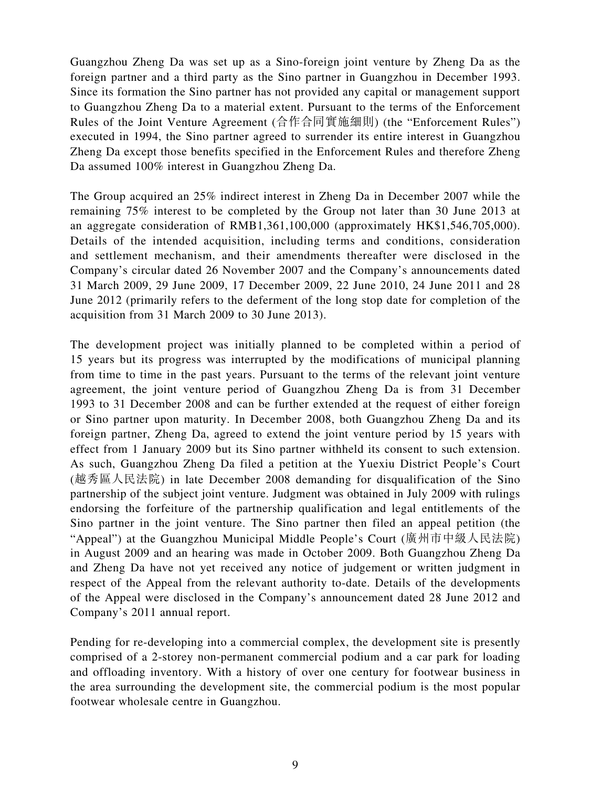Guangzhou Zheng Da was set up as a Sino-foreign joint venture by Zheng Da as the foreign partner and a third party as the Sino partner in Guangzhou in December 1993. Since its formation the Sino partner has not provided any capital or management support to Guangzhou Zheng Da to a material extent. Pursuant to the terms of the Enforcement Rules of the Joint Venture Agreement (合作合同實施細則) (the "Enforcement Rules") executed in 1994, the Sino partner agreed to surrender its entire interest in Guangzhou Zheng Da except those benefits specified in the Enforcement Rules and therefore Zheng Da assumed 100% interest in Guangzhou Zheng Da.

The Group acquired an 25% indirect interest in Zheng Da in December 2007 while the remaining 75% interest to be completed by the Group not later than 30 June 2013 at an aggregate consideration of RMB1,361,100,000 (approximately HK\$1,546,705,000). Details of the intended acquisition, including terms and conditions, consideration and settlement mechanism, and their amendments thereafter were disclosed in the Company's circular dated 26 November 2007 and the Company's announcements dated 31 March 2009, 29 June 2009, 17 December 2009, 22 June 2010, 24 June 2011 and 28 June 2012 (primarily refers to the deferment of the long stop date for completion of the acquisition from 31 March 2009 to 30 June 2013).

The development project was initially planned to be completed within a period of 15 years but its progress was interrupted by the modifications of municipal planning from time to time in the past years. Pursuant to the terms of the relevant joint venture agreement, the joint venture period of Guangzhou Zheng Da is from 31 December 1993 to 31 December 2008 and can be further extended at the request of either foreign or Sino partner upon maturity. In December 2008, both Guangzhou Zheng Da and its foreign partner, Zheng Da, agreed to extend the joint venture period by 15 years with effect from 1 January 2009 but its Sino partner withheld its consent to such extension. As such, Guangzhou Zheng Da filed a petition at the Yuexiu District People's Court (越秀區人民法院) in late December 2008 demanding for disqualification of the Sino partnership of the subject joint venture. Judgment was obtained in July 2009 with rulings endorsing the forfeiture of the partnership qualification and legal entitlements of the Sino partner in the joint venture. The Sino partner then filed an appeal petition (the "Appeal") at the Guangzhou Municipal Middle People's Court (廣州市中級人民法院) in August 2009 and an hearing was made in October 2009. Both Guangzhou Zheng Da and Zheng Da have not yet received any notice of judgement or written judgment in respect of the Appeal from the relevant authority to-date. Details of the developments of the Appeal were disclosed in the Company's announcement dated 28 June 2012 and Company's 2011 annual report.

Pending for re-developing into a commercial complex, the development site is presently comprised of a 2-storey non-permanent commercial podium and a car park for loading and offloading inventory. With a history of over one century for footwear business in the area surrounding the development site, the commercial podium is the most popular footwear wholesale centre in Guangzhou.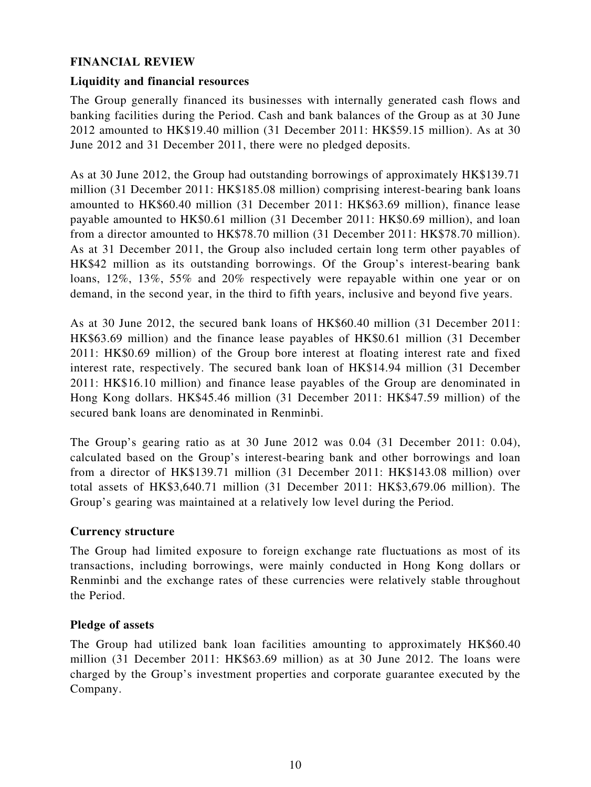### **FINANCIAL REVIEW**

### **Liquidity and financial resources**

The Group generally financed its businesses with internally generated cash flows and banking facilities during the Period. Cash and bank balances of the Group as at 30 June 2012 amounted to HK\$19.40 million (31 December 2011: HK\$59.15 million). As at 30 June 2012 and 31 December 2011, there were no pledged deposits.

As at 30 June 2012, the Group had outstanding borrowings of approximately HK\$139.71 million (31 December 2011: HK\$185.08 million) comprising interest-bearing bank loans amounted to HK\$60.40 million (31 December 2011: HK\$63.69 million), finance lease payable amounted to HK\$0.61 million (31 December 2011: HK\$0.69 million), and loan from a director amounted to HK\$78.70 million (31 December 2011: HK\$78.70 million). As at 31 December 2011, the Group also included certain long term other payables of HK\$42 million as its outstanding borrowings. Of the Group's interest-bearing bank loans, 12%, 13%, 55% and 20% respectively were repayable within one year or on demand, in the second year, in the third to fifth years, inclusive and beyond five years.

As at 30 June 2012, the secured bank loans of HK\$60.40 million (31 December 2011: HK\$63.69 million) and the finance lease payables of HK\$0.61 million (31 December 2011: HK\$0.69 million) of the Group bore interest at floating interest rate and fixed interest rate, respectively. The secured bank loan of HK\$14.94 million (31 December 2011: HK\$16.10 million) and finance lease payables of the Group are denominated in Hong Kong dollars. HK\$45.46 million (31 December 2011: HK\$47.59 million) of the secured bank loans are denominated in Renminbi.

The Group's gearing ratio as at 30 June 2012 was 0.04 (31 December 2011: 0.04), calculated based on the Group's interest-bearing bank and other borrowings and loan from a director of HK\$139.71 million (31 December 2011: HK\$143.08 million) over total assets of HK\$3,640.71 million (31 December 2011: HK\$3,679.06 million). The Group's gearing was maintained at a relatively low level during the Period.

#### **Currency structure**

The Group had limited exposure to foreign exchange rate fluctuations as most of its transactions, including borrowings, were mainly conducted in Hong Kong dollars or Renminbi and the exchange rates of these currencies were relatively stable throughout the Period.

#### **Pledge of assets**

The Group had utilized bank loan facilities amounting to approximately HK\$60.40 million (31 December 2011: HK\$63.69 million) as at 30 June 2012. The loans were charged by the Group's investment properties and corporate guarantee executed by the Company.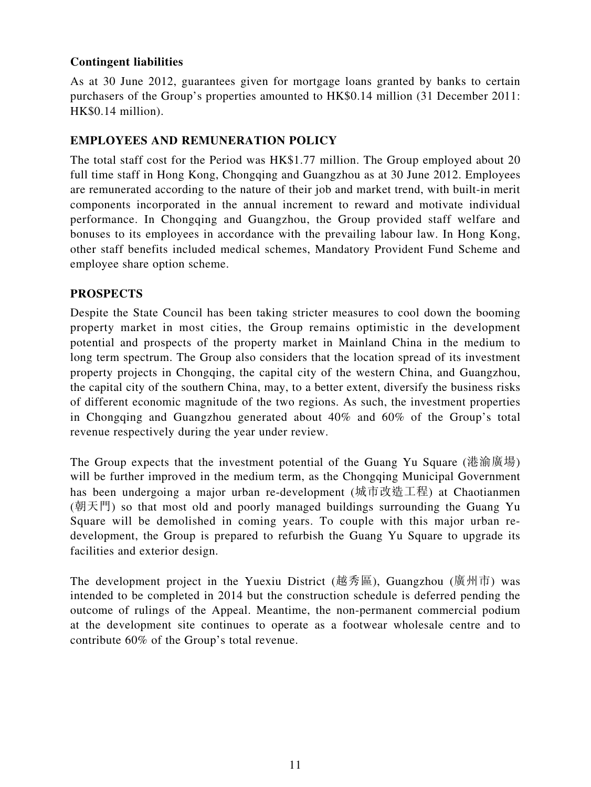### **Contingent liabilities**

As at 30 June 2012, guarantees given for mortgage loans granted by banks to certain purchasers of the Group's properties amounted to HK\$0.14 million (31 December 2011: HK\$0.14 million).

### **EMPLOYEES AND REMUNERATION POLICY**

The total staff cost for the Period was HK\$1.77 million. The Group employed about 20 full time staff in Hong Kong, Chongqing and Guangzhou as at 30 June 2012. Employees are remunerated according to the nature of their job and market trend, with built-in merit components incorporated in the annual increment to reward and motivate individual performance. In Chongqing and Guangzhou, the Group provided staff welfare and bonuses to its employees in accordance with the prevailing labour law. In Hong Kong, other staff benefits included medical schemes, Mandatory Provident Fund Scheme and employee share option scheme.

#### **PROSPECTS**

Despite the State Council has been taking stricter measures to cool down the booming property market in most cities, the Group remains optimistic in the development potential and prospects of the property market in Mainland China in the medium to long term spectrum. The Group also considers that the location spread of its investment property projects in Chongqing, the capital city of the western China, and Guangzhou, the capital city of the southern China, may, to a better extent, diversify the business risks of different economic magnitude of the two regions. As such, the investment properties in Chongqing and Guangzhou generated about 40% and 60% of the Group's total revenue respectively during the year under review.

The Group expects that the investment potential of the Guang Yu Square (港渝廣場) will be further improved in the medium term, as the Chongqing Municipal Government has been undergoing a major urban re-development (城市改造工程) at Chaotianmen (朝天門) so that most old and poorly managed buildings surrounding the Guang Yu Square will be demolished in coming years. To couple with this major urban redevelopment, the Group is prepared to refurbish the Guang Yu Square to upgrade its facilities and exterior design.

The development project in the Yuexiu District (越秀區), Guangzhou (廣州市) was intended to be completed in 2014 but the construction schedule is deferred pending the outcome of rulings of the Appeal. Meantime, the non-permanent commercial podium at the development site continues to operate as a footwear wholesale centre and to contribute 60% of the Group's total revenue.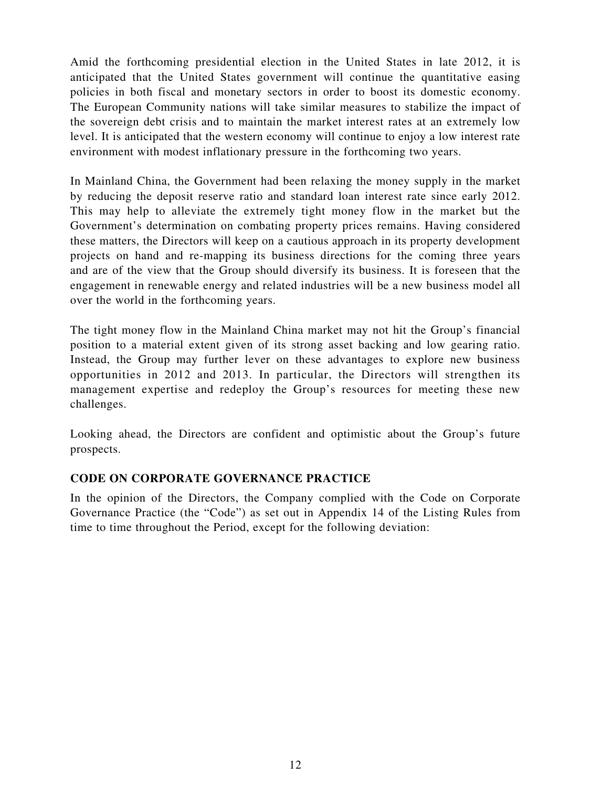Amid the forthcoming presidential election in the United States in late 2012, it is anticipated that the United States government will continue the quantitative easing policies in both fiscal and monetary sectors in order to boost its domestic economy. The European Community nations will take similar measures to stabilize the impact of the sovereign debt crisis and to maintain the market interest rates at an extremely low level. It is anticipated that the western economy will continue to enjoy a low interest rate environment with modest inflationary pressure in the forthcoming two years.

In Mainland China, the Government had been relaxing the money supply in the market by reducing the deposit reserve ratio and standard loan interest rate since early 2012. This may help to alleviate the extremely tight money flow in the market but the Government's determination on combating property prices remains. Having considered these matters, the Directors will keep on a cautious approach in its property development projects on hand and re-mapping its business directions for the coming three years and are of the view that the Group should diversify its business. It is foreseen that the engagement in renewable energy and related industries will be a new business model all over the world in the forthcoming years.

The tight money flow in the Mainland China market may not hit the Group's financial position to a material extent given of its strong asset backing and low gearing ratio. Instead, the Group may further lever on these advantages to explore new business opportunities in 2012 and 2013. In particular, the Directors will strengthen its management expertise and redeploy the Group's resources for meeting these new challenges.

Looking ahead, the Directors are confident and optimistic about the Group's future prospects.

### **CODE ON CORPORATE GOVERNANCE PRACTICE**

In the opinion of the Directors, the Company complied with the Code on Corporate Governance Practice (the "Code") as set out in Appendix 14 of the Listing Rules from time to time throughout the Period, except for the following deviation: